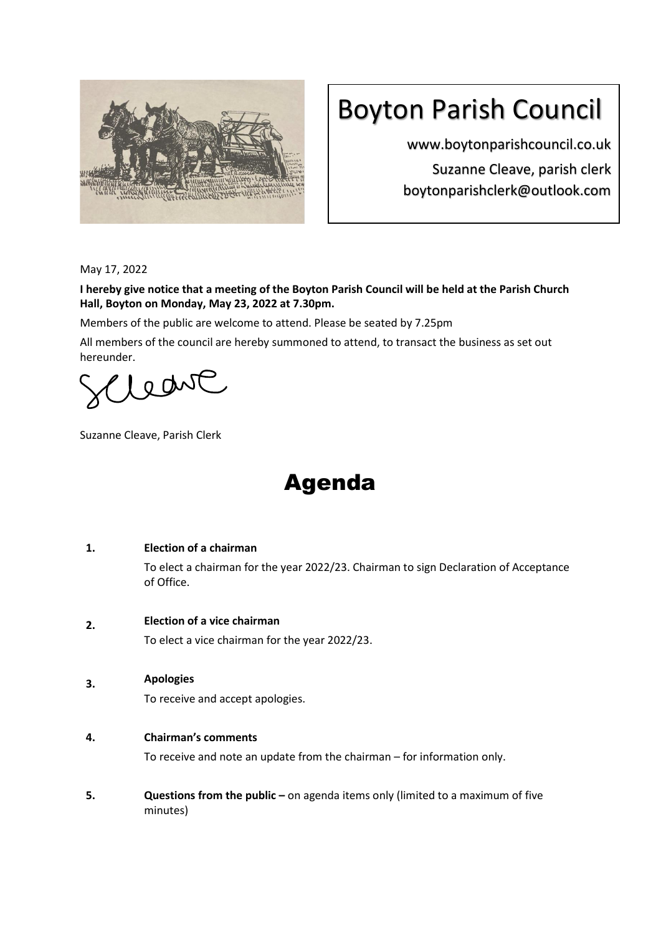

# Boyton Parish Council

www.boytonparishcouncil.co.uk Suzanne Cleave, parish clerk boytonparishclerk@outlook.com

May 17, 2022

**I hereby give notice that a meeting of the Boyton Parish Council will be held at the Parish Church Hall, Boyton on Monday, May 23, 2022 at 7.30pm.**

Members of the public are welcome to attend. Please be seated by 7.25pm

All members of the council are hereby summoned to attend, to transact the business as set out hereunder.

Leave

Suzanne Cleave, Parish Clerk

## Agenda

#### **1. Election of a chairman**

To elect a chairman for the year 2022/23. Chairman to sign Declaration of Acceptance of Office.

#### **2. Election of a vice chairman**

To elect a vice chairman for the year 2022/23.

**3. Apologies**

To receive and accept apologies.

## **4. Chairman's comments**

To receive and note an update from the chairman – for information only.

**5. Questions from the public** – on agenda items only (limited to a maximum of five minutes)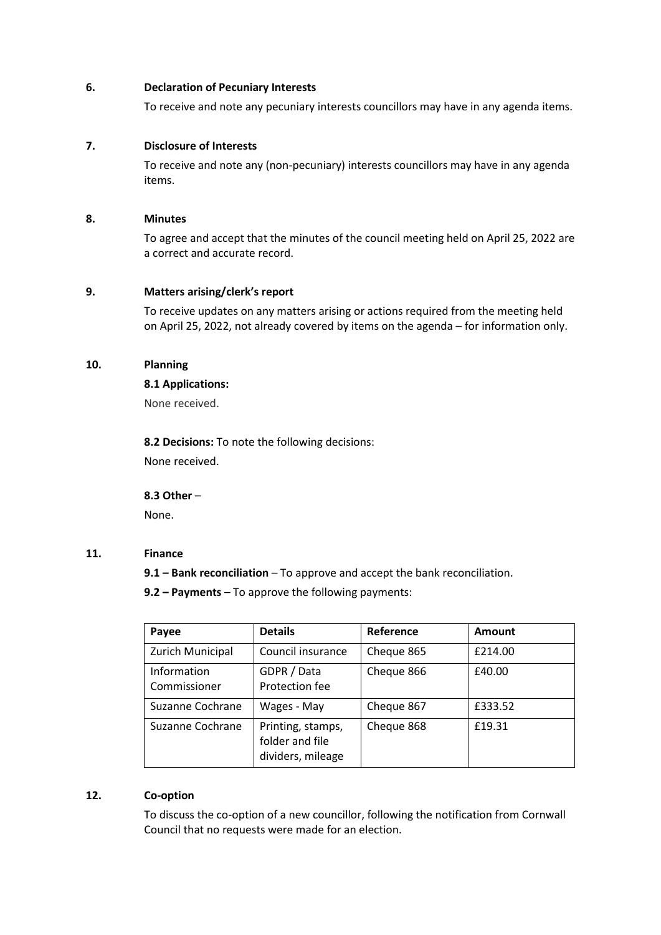#### **6. Declaration of Pecuniary Interests**

To receive and note any pecuniary interests councillors may have in any agenda items.

## **7. Disclosure of Interests**

To receive and note any (non-pecuniary) interests councillors may have in any agenda items.

#### **8. Minutes**

To agree and accept that the minutes of the council meeting held on April 25, 2022 are a correct and accurate record.

## **9. Matters arising/clerk's report**

To receive updates on any matters arising or actions required from the meeting held on April 25, 2022, not already covered by items on the agenda – for information only.

## **10. Planning**

## **8.1 Applications:**

None received.

**8.2 Decisions:** To note the following decisions: None received.

**8.3 Other** –

None.

#### **11. Finance**

**9.1 – Bank reconciliation** – To approve and accept the bank reconciliation.

**9.2 – Payments** – To approve the following payments:

| Payee                       | <b>Details</b>                                            | Reference  | Amount  |
|-----------------------------|-----------------------------------------------------------|------------|---------|
| Zurich Municipal            | Council insurance                                         | Cheque 865 | £214.00 |
| Information<br>Commissioner | GDPR / Data<br>Protection fee                             | Cheque 866 | £40.00  |
| Suzanne Cochrane            | Wages - May                                               | Cheque 867 | £333.52 |
| Suzanne Cochrane            | Printing, stamps,<br>folder and file<br>dividers, mileage | Cheque 868 | £19.31  |

## **12. Co-option**

To discuss the co-option of a new councillor, following the notification from Cornwall Council that no requests were made for an election.